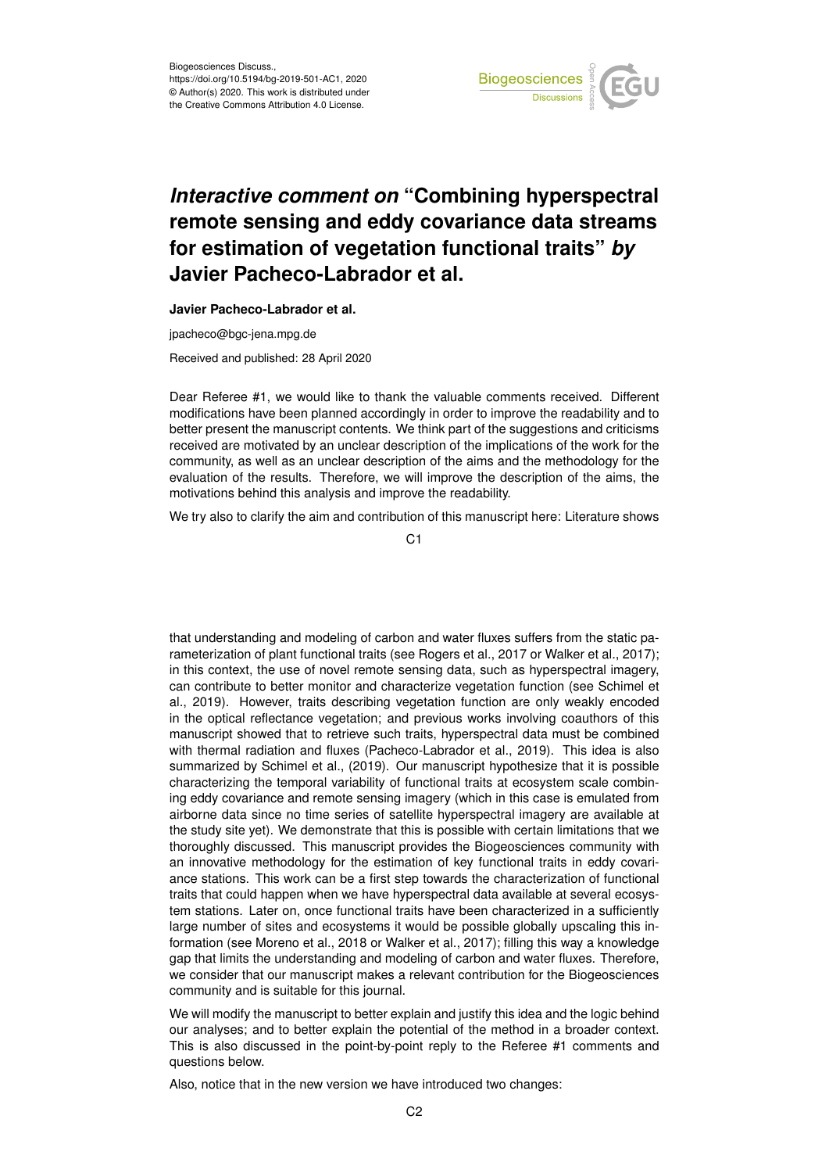

# *Interactive comment on* **"Combining hyperspectral remote sensing and eddy covariance data streams for estimation of vegetation functional traits"** *by* **Javier Pacheco-Labrador et al.**

**Javier Pacheco-Labrador et al.**

jpacheco@bgc-jena.mpg.de

Received and published: 28 April 2020

Dear Referee #1, we would like to thank the valuable comments received. Different modifications have been planned accordingly in order to improve the readability and to better present the manuscript contents. We think part of the suggestions and criticisms received are motivated by an unclear description of the implications of the work for the community, as well as an unclear description of the aims and the methodology for the evaluation of the results. Therefore, we will improve the description of the aims, the motivations behind this analysis and improve the readability.

We try also to clarify the aim and contribution of this manuscript here: Literature shows

 $C<sub>1</sub>$ 

that understanding and modeling of carbon and water fluxes suffers from the static parameterization of plant functional traits (see Rogers et al., 2017 or Walker et al., 2017); in this context, the use of novel remote sensing data, such as hyperspectral imagery, can contribute to better monitor and characterize vegetation function (see Schimel et al., 2019). However, traits describing vegetation function are only weakly encoded in the optical reflectance vegetation; and previous works involving coauthors of this manuscript showed that to retrieve such traits, hyperspectral data must be combined with thermal radiation and fluxes (Pacheco-Labrador et al., 2019). This idea is also summarized by Schimel et al., (2019). Our manuscript hypothesize that it is possible characterizing the temporal variability of functional traits at ecosystem scale combining eddy covariance and remote sensing imagery (which in this case is emulated from airborne data since no time series of satellite hyperspectral imagery are available at the study site yet). We demonstrate that this is possible with certain limitations that we thoroughly discussed. This manuscript provides the Biogeosciences community with an innovative methodology for the estimation of key functional traits in eddy covariance stations. This work can be a first step towards the characterization of functional traits that could happen when we have hyperspectral data available at several ecosystem stations. Later on, once functional traits have been characterized in a sufficiently large number of sites and ecosystems it would be possible globally upscaling this information (see Moreno et al., 2018 or Walker et al., 2017); filling this way a knowledge gap that limits the understanding and modeling of carbon and water fluxes. Therefore, we consider that our manuscript makes a relevant contribution for the Biogeosciences community and is suitable for this journal.

We will modify the manuscript to better explain and justify this idea and the logic behind our analyses; and to better explain the potential of the method in a broader context. This is also discussed in the point-by-point reply to the Referee #1 comments and questions below.

Also, notice that in the new version we have introduced two changes: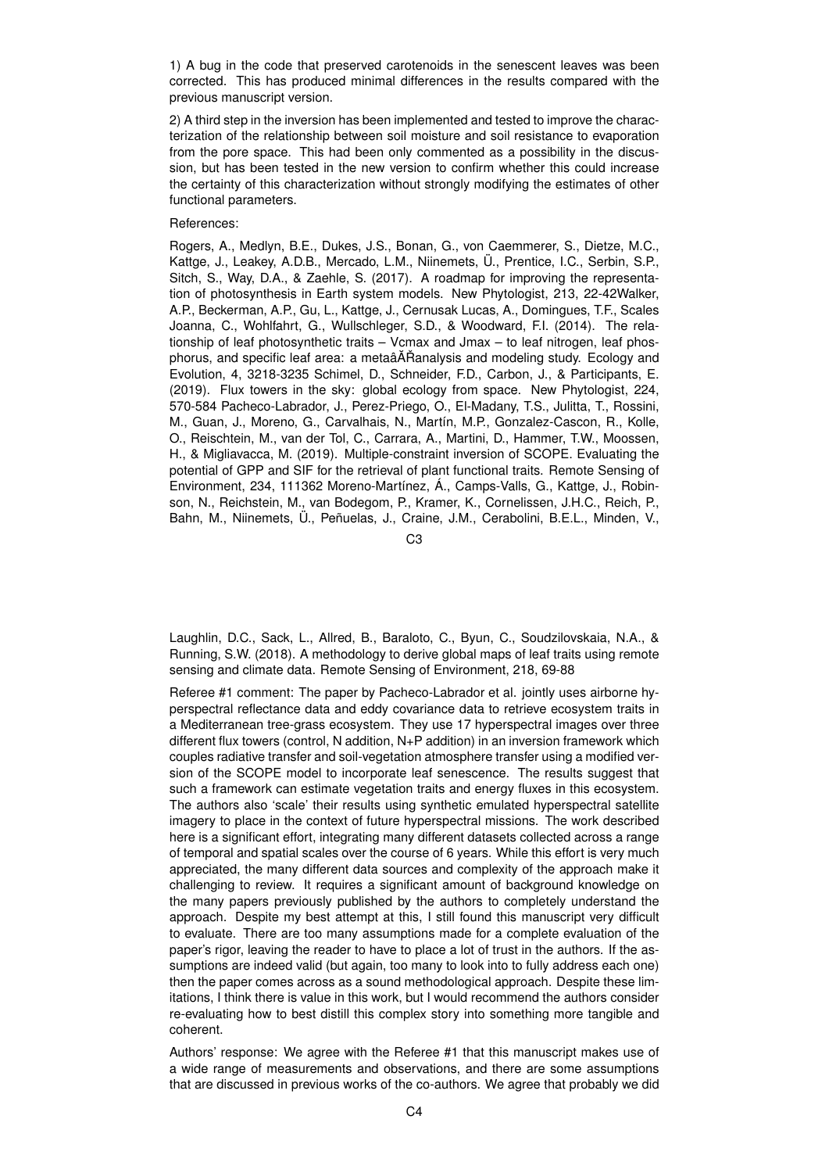1) A bug in the code that preserved carotenoids in the senescent leaves was been corrected. This has produced minimal differences in the results compared with the previous manuscript version.

2) A third step in the inversion has been implemented and tested to improve the characterization of the relationship between soil moisture and soil resistance to evaporation from the pore space. This had been only commented as a possibility in the discussion, but has been tested in the new version to confirm whether this could increase the certainty of this characterization without strongly modifying the estimates of other functional parameters.

## References:

Rogers, A., Medlyn, B.E., Dukes, J.S., Bonan, G., von Caemmerer, S., Dietze, M.C., Kattge, J., Leakey, A.D.B., Mercado, L.M., Niinemets, Ü., Prentice, I.C., Serbin, S.P., Sitch, S., Way, D.A., & Zaehle, S. (2017). A roadmap for improving the representation of photosynthesis in Earth system models. New Phytologist, 213, 22-42Walker, A.P., Beckerman, A.P., Gu, L., Kattge, J., Cernusak Lucas, A., Domingues, T.F., Scales Joanna, C., Wohlfahrt, G., Wullschleger, S.D., & Woodward, F.I. (2014). The relationship of leaf photosynthetic traits – Vcmax and Jmax – to leaf nitrogen, leaf phosphorus, and specific leaf area: a metaâĂŘanalysis and modeling study. Ecology and Evolution, 4, 3218-3235 Schimel, D., Schneider, F.D., Carbon, J., & Participants, E. (2019). Flux towers in the sky: global ecology from space. New Phytologist, 224, 570-584 Pacheco-Labrador, J., Perez-Priego, O., El-Madany, T.S., Julitta, T., Rossini, M., Guan, J., Moreno, G., Carvalhais, N., Martín, M.P., Gonzalez-Cascon, R., Kolle, O., Reischtein, M., van der Tol, C., Carrara, A., Martini, D., Hammer, T.W., Moossen, H., & Migliavacca, M. (2019). Multiple-constraint inversion of SCOPE. Evaluating the potential of GPP and SIF for the retrieval of plant functional traits. Remote Sensing of Environment, 234, 111362 Moreno-Martínez, Á., Camps-Valls, G., Kattge, J., Robinson, N., Reichstein, M., van Bodegom, P., Kramer, K., Cornelissen, J.H.C., Reich, P., Bahn, M., Niinemets, Ü., Peñuelas, J., Craine, J.M., Cerabolini, B.E.L., Minden, V.,

C3

Laughlin, D.C., Sack, L., Allred, B., Baraloto, C., Byun, C., Soudzilovskaia, N.A., & Running, S.W. (2018). A methodology to derive global maps of leaf traits using remote sensing and climate data. Remote Sensing of Environment, 218, 69-88

Referee #1 comment: The paper by Pacheco-Labrador et al. jointly uses airborne hyperspectral reflectance data and eddy covariance data to retrieve ecosystem traits in a Mediterranean tree-grass ecosystem. They use 17 hyperspectral images over three different flux towers (control, N addition, N+P addition) in an inversion framework which couples radiative transfer and soil-vegetation atmosphere transfer using a modified version of the SCOPE model to incorporate leaf senescence. The results suggest that such a framework can estimate vegetation traits and energy fluxes in this ecosystem. The authors also 'scale' their results using synthetic emulated hyperspectral satellite imagery to place in the context of future hyperspectral missions. The work described here is a significant effort, integrating many different datasets collected across a range of temporal and spatial scales over the course of 6 years. While this effort is very much appreciated, the many different data sources and complexity of the approach make it challenging to review. It requires a significant amount of background knowledge on the many papers previously published by the authors to completely understand the approach. Despite my best attempt at this, I still found this manuscript very difficult to evaluate. There are too many assumptions made for a complete evaluation of the paper's rigor, leaving the reader to have to place a lot of trust in the authors. If the assumptions are indeed valid (but again, too many to look into to fully address each one) then the paper comes across as a sound methodological approach. Despite these limitations, I think there is value in this work, but I would recommend the authors consider re-evaluating how to best distill this complex story into something more tangible and coherent.

Authors' response: We agree with the Referee #1 that this manuscript makes use of a wide range of measurements and observations, and there are some assumptions that are discussed in previous works of the co-authors. We agree that probably we did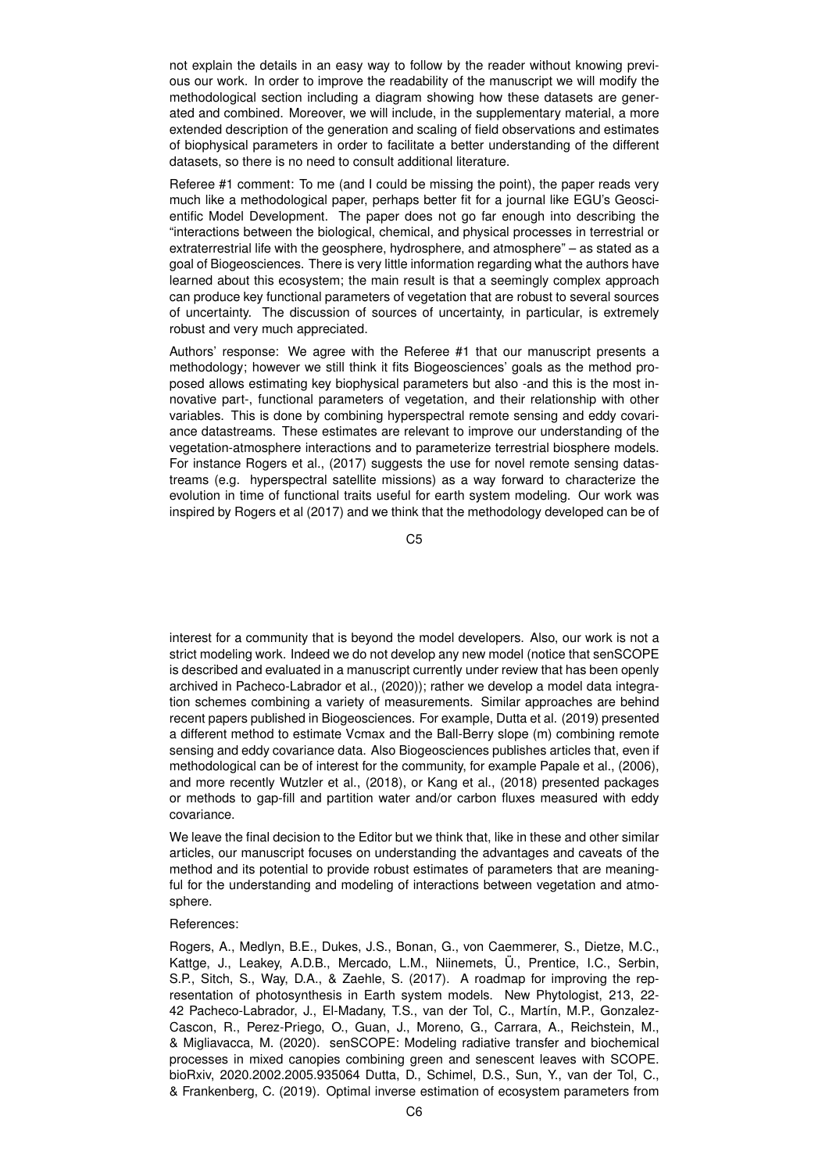not explain the details in an easy way to follow by the reader without knowing previous our work. In order to improve the readability of the manuscript we will modify the methodological section including a diagram showing how these datasets are generated and combined. Moreover, we will include, in the supplementary material, a more extended description of the generation and scaling of field observations and estimates of biophysical parameters in order to facilitate a better understanding of the different datasets, so there is no need to consult additional literature.

Referee #1 comment: To me (and I could be missing the point), the paper reads very much like a methodological paper, perhaps better fit for a journal like EGU's Geoscientific Model Development. The paper does not go far enough into describing the "interactions between the biological, chemical, and physical processes in terrestrial or extraterrestrial life with the geosphere, hydrosphere, and atmosphere" – as stated as a goal of Biogeosciences. There is very little information regarding what the authors have learned about this ecosystem; the main result is that a seemingly complex approach can produce key functional parameters of vegetation that are robust to several sources of uncertainty. The discussion of sources of uncertainty, in particular, is extremely robust and very much appreciated.

Authors' response: We agree with the Referee #1 that our manuscript presents a methodology; however we still think it fits Biogeosciences' goals as the method proposed allows estimating key biophysical parameters but also -and this is the most innovative part-, functional parameters of vegetation, and their relationship with other variables. This is done by combining hyperspectral remote sensing and eddy covariance datastreams. These estimates are relevant to improve our understanding of the vegetation-atmosphere interactions and to parameterize terrestrial biosphere models. For instance Rogers et al., (2017) suggests the use for novel remote sensing datastreams (e.g. hyperspectral satellite missions) as a way forward to characterize the evolution in time of functional traits useful for earth system modeling. Our work was inspired by Rogers et al (2017) and we think that the methodology developed can be of

C5

interest for a community that is beyond the model developers. Also, our work is not a strict modeling work. Indeed we do not develop any new model (notice that senSCOPE is described and evaluated in a manuscript currently under review that has been openly archived in Pacheco-Labrador et al., (2020)); rather we develop a model data integration schemes combining a variety of measurements. Similar approaches are behind recent papers published in Biogeosciences. For example, Dutta et al. (2019) presented a different method to estimate Vcmax and the Ball-Berry slope (m) combining remote sensing and eddy covariance data. Also Biogeosciences publishes articles that, even if methodological can be of interest for the community, for example Papale et al., (2006), and more recently Wutzler et al., (2018), or Kang et al., (2018) presented packages or methods to gap-fill and partition water and/or carbon fluxes measured with eddy covariance.

We leave the final decision to the Editor but we think that, like in these and other similar articles, our manuscript focuses on understanding the advantages and caveats of the method and its potential to provide robust estimates of parameters that are meaningful for the understanding and modeling of interactions between vegetation and atmosphere.

### References:

Rogers, A., Medlyn, B.E., Dukes, J.S., Bonan, G., von Caemmerer, S., Dietze, M.C., Kattge, J., Leakey, A.D.B., Mercado, L.M., Niinemets, Ü., Prentice, I.C., Serbin, S.P., Sitch, S., Way, D.A., & Zaehle, S. (2017). A roadmap for improving the representation of photosynthesis in Earth system models. New Phytologist, 213, 22- 42 Pacheco-Labrador, J., El-Madany, T.S., van der Tol, C., Martín, M.P., Gonzalez-Cascon, R., Perez-Priego, O., Guan, J., Moreno, G., Carrara, A., Reichstein, M., & Migliavacca, M. (2020). senSCOPE: Modeling radiative transfer and biochemical processes in mixed canopies combining green and senescent leaves with SCOPE. bioRxiv, 2020.2002.2005.935064 Dutta, D., Schimel, D.S., Sun, Y., van der Tol, C., & Frankenberg, C. (2019). Optimal inverse estimation of ecosystem parameters from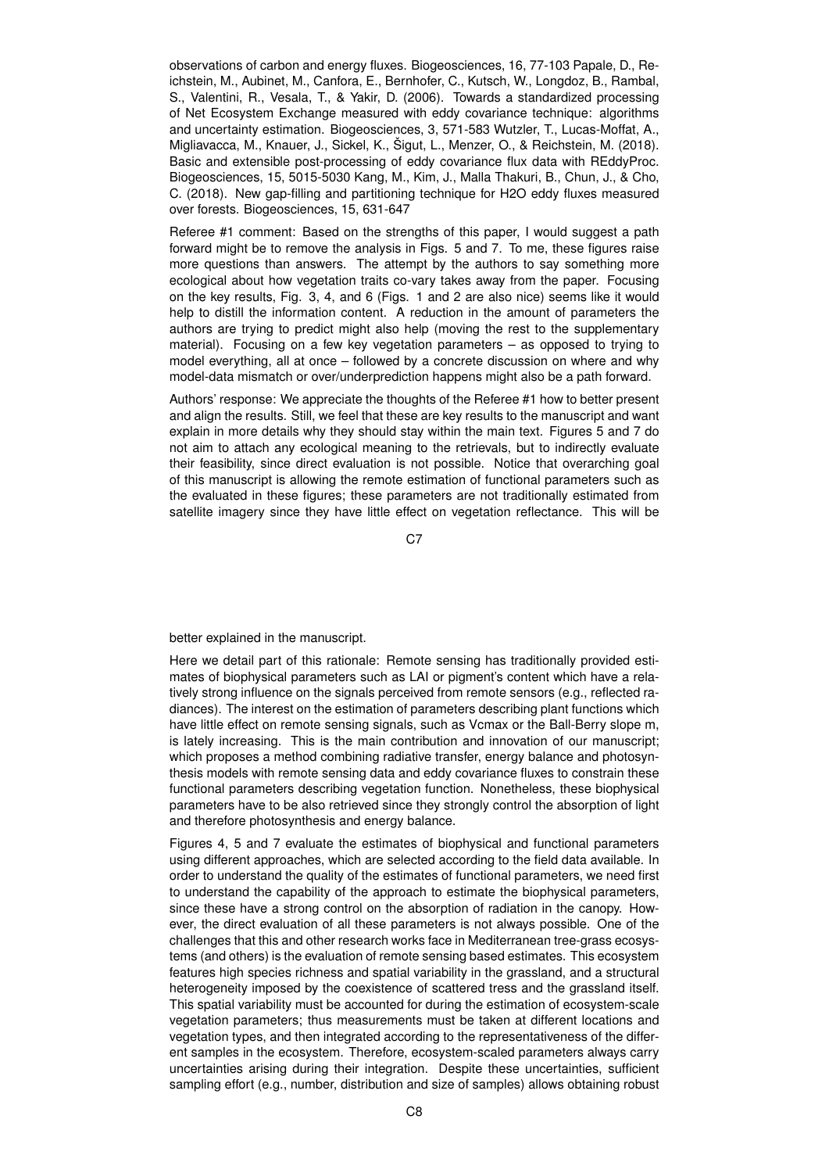observations of carbon and energy fluxes. Biogeosciences, 16, 77-103 Papale, D., Reichstein, M., Aubinet, M., Canfora, E., Bernhofer, C., Kutsch, W., Longdoz, B., Rambal, S., Valentini, R., Vesala, T., & Yakir, D. (2006). Towards a standardized processing of Net Ecosystem Exchange measured with eddy covariance technique: algorithms and uncertainty estimation. Biogeosciences, 3, 571-583 Wutzler, T., Lucas-Moffat, A., Migliavacca, M., Knauer, J., Sickel, K., Šigut, L., Menzer, O., & Reichstein, M. (2018). Basic and extensible post-processing of eddy covariance flux data with REddyProc. Biogeosciences, 15, 5015-5030 Kang, M., Kim, J., Malla Thakuri, B., Chun, J., & Cho, C. (2018). New gap-filling and partitioning technique for H2O eddy fluxes measured over forests. Biogeosciences, 15, 631-647

Referee #1 comment: Based on the strengths of this paper, I would suggest a path forward might be to remove the analysis in Figs. 5 and 7. To me, these figures raise more questions than answers. The attempt by the authors to say something more ecological about how vegetation traits co-vary takes away from the paper. Focusing on the key results, Fig. 3, 4, and 6 (Figs. 1 and 2 are also nice) seems like it would help to distill the information content. A reduction in the amount of parameters the authors are trying to predict might also help (moving the rest to the supplementary material). Focusing on a few key vegetation parameters – as opposed to trying to model everything, all at once – followed by a concrete discussion on where and why model-data mismatch or over/underprediction happens might also be a path forward.

Authors' response: We appreciate the thoughts of the Referee #1 how to better present and align the results. Still, we feel that these are key results to the manuscript and want explain in more details why they should stay within the main text. Figures 5 and 7 do not aim to attach any ecological meaning to the retrievals, but to indirectly evaluate their feasibility, since direct evaluation is not possible. Notice that overarching goal of this manuscript is allowing the remote estimation of functional parameters such as the evaluated in these figures; these parameters are not traditionally estimated from satellite imagery since they have little effect on vegetation reflectance. This will be

C<sub>7</sub>

better explained in the manuscript.

Here we detail part of this rationale: Remote sensing has traditionally provided estimates of biophysical parameters such as LAI or pigment's content which have a relatively strong influence on the signals perceived from remote sensors (e.g., reflected radiances). The interest on the estimation of parameters describing plant functions which have little effect on remote sensing signals, such as Vcmax or the Ball-Berry slope m, is lately increasing. This is the main contribution and innovation of our manuscript; which proposes a method combining radiative transfer, energy balance and photosynthesis models with remote sensing data and eddy covariance fluxes to constrain these functional parameters describing vegetation function. Nonetheless, these biophysical parameters have to be also retrieved since they strongly control the absorption of light and therefore photosynthesis and energy balance.

Figures 4, 5 and 7 evaluate the estimates of biophysical and functional parameters using different approaches, which are selected according to the field data available. In order to understand the quality of the estimates of functional parameters, we need first to understand the capability of the approach to estimate the biophysical parameters, since these have a strong control on the absorption of radiation in the canopy. However, the direct evaluation of all these parameters is not always possible. One of the challenges that this and other research works face in Mediterranean tree-grass ecosystems (and others) is the evaluation of remote sensing based estimates. This ecosystem features high species richness and spatial variability in the grassland, and a structural heterogeneity imposed by the coexistence of scattered tress and the grassland itself. This spatial variability must be accounted for during the estimation of ecosystem-scale vegetation parameters; thus measurements must be taken at different locations and vegetation types, and then integrated according to the representativeness of the different samples in the ecosystem. Therefore, ecosystem-scaled parameters always carry uncertainties arising during their integration. Despite these uncertainties, sufficient sampling effort (e.g., number, distribution and size of samples) allows obtaining robust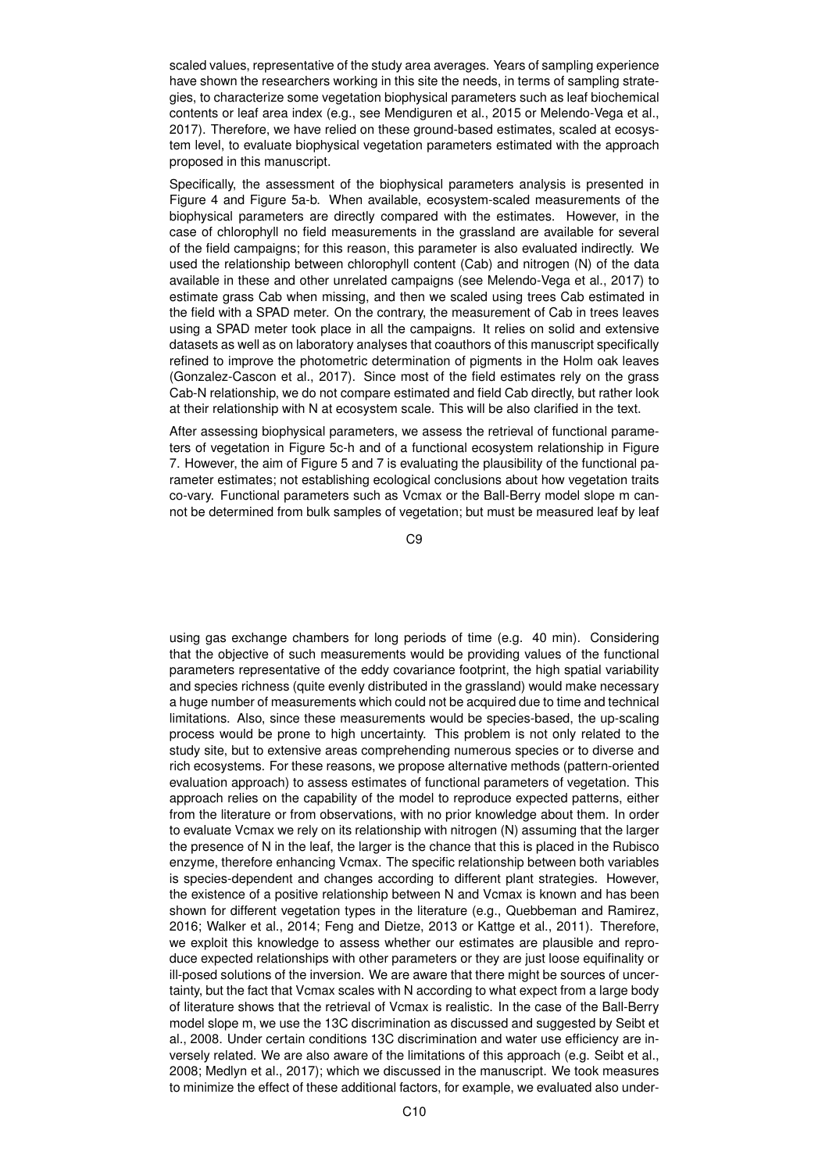scaled values, representative of the study area averages. Years of sampling experience have shown the researchers working in this site the needs, in terms of sampling strategies, to characterize some vegetation biophysical parameters such as leaf biochemical contents or leaf area index (e.g., see Mendiguren et al., 2015 or Melendo-Vega et al., 2017). Therefore, we have relied on these ground-based estimates, scaled at ecosystem level, to evaluate biophysical vegetation parameters estimated with the approach proposed in this manuscript.

Specifically, the assessment of the biophysical parameters analysis is presented in Figure 4 and Figure 5a-b. When available, ecosystem-scaled measurements of the biophysical parameters are directly compared with the estimates. However, in the case of chlorophyll no field measurements in the grassland are available for several of the field campaigns; for this reason, this parameter is also evaluated indirectly. We used the relationship between chlorophyll content (Cab) and nitrogen (N) of the data available in these and other unrelated campaigns (see Melendo-Vega et al., 2017) to estimate grass Cab when missing, and then we scaled using trees Cab estimated in the field with a SPAD meter. On the contrary, the measurement of Cab in trees leaves using a SPAD meter took place in all the campaigns. It relies on solid and extensive datasets as well as on laboratory analyses that coauthors of this manuscript specifically refined to improve the photometric determination of pigments in the Holm oak leaves (Gonzalez-Cascon et al., 2017). Since most of the field estimates rely on the grass Cab-N relationship, we do not compare estimated and field Cab directly, but rather look at their relationship with N at ecosystem scale. This will be also clarified in the text.

After assessing biophysical parameters, we assess the retrieval of functional parameters of vegetation in Figure 5c-h and of a functional ecosystem relationship in Figure 7. However, the aim of Figure 5 and 7 is evaluating the plausibility of the functional parameter estimates; not establishing ecological conclusions about how vegetation traits co-vary. Functional parameters such as Vcmax or the Ball-Berry model slope m cannot be determined from bulk samples of vegetation; but must be measured leaf by leaf

C9

using gas exchange chambers for long periods of time (e.g. 40 min). Considering that the objective of such measurements would be providing values of the functional parameters representative of the eddy covariance footprint, the high spatial variability and species richness (quite evenly distributed in the grassland) would make necessary a huge number of measurements which could not be acquired due to time and technical limitations. Also, since these measurements would be species-based, the up-scaling process would be prone to high uncertainty. This problem is not only related to the study site, but to extensive areas comprehending numerous species or to diverse and rich ecosystems. For these reasons, we propose alternative methods (pattern-oriented evaluation approach) to assess estimates of functional parameters of vegetation. This approach relies on the capability of the model to reproduce expected patterns, either from the literature or from observations, with no prior knowledge about them. In order to evaluate Vcmax we rely on its relationship with nitrogen (N) assuming that the larger the presence of N in the leaf, the larger is the chance that this is placed in the Rubisco enzyme, therefore enhancing Vcmax. The specific relationship between both variables is species-dependent and changes according to different plant strategies. However, the existence of a positive relationship between N and Vcmax is known and has been shown for different vegetation types in the literature (e.g., Quebbeman and Ramirez, 2016; Walker et al., 2014; Feng and Dietze, 2013 or Kattge et al., 2011). Therefore, we exploit this knowledge to assess whether our estimates are plausible and reproduce expected relationships with other parameters or they are just loose equifinality or ill-posed solutions of the inversion. We are aware that there might be sources of uncertainty, but the fact that Vcmax scales with N according to what expect from a large body of literature shows that the retrieval of Vcmax is realistic. In the case of the Ball-Berry model slope m, we use the 13C discrimination as discussed and suggested by Seibt et al., 2008. Under certain conditions 13C discrimination and water use efficiency are inversely related. We are also aware of the limitations of this approach (e.g. Seibt et al., 2008; Medlyn et al., 2017); which we discussed in the manuscript. We took measures to minimize the effect of these additional factors, for example, we evaluated also under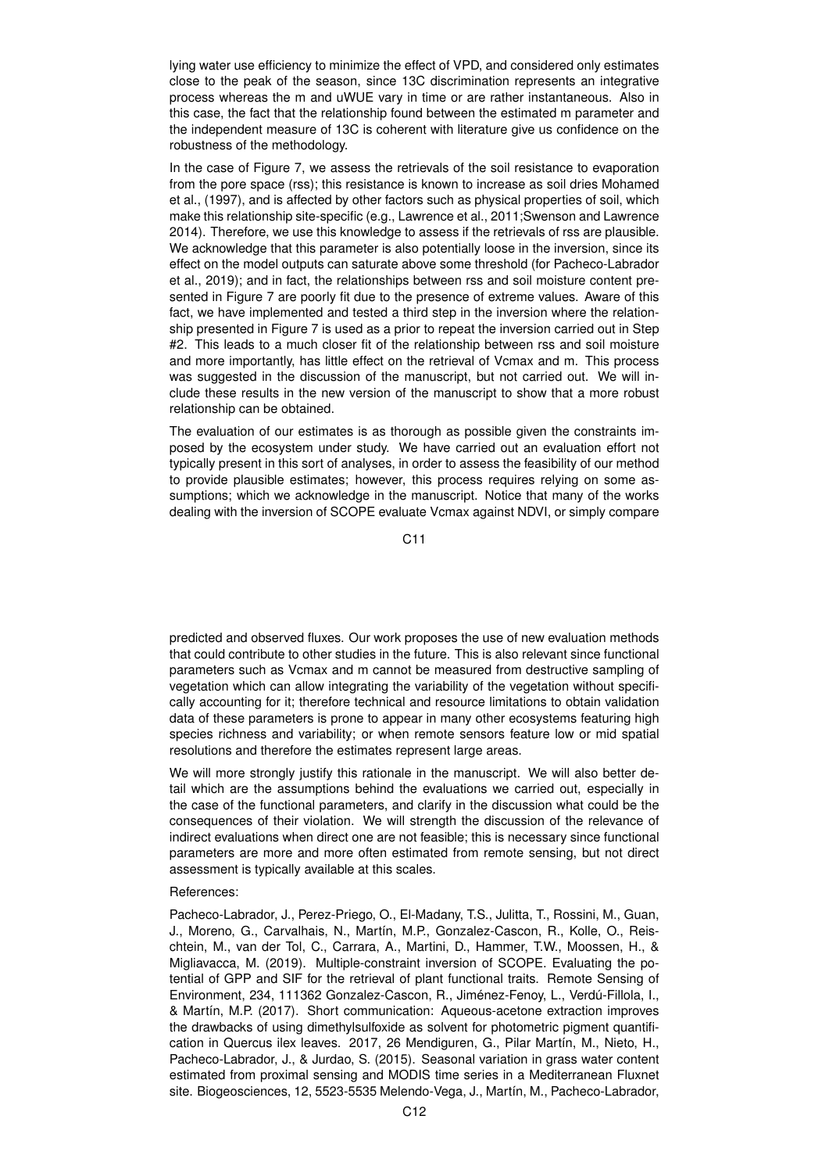lying water use efficiency to minimize the effect of VPD, and considered only estimates close to the peak of the season, since 13C discrimination represents an integrative process whereas the m and uWUE vary in time or are rather instantaneous. Also in this case, the fact that the relationship found between the estimated m parameter and the independent measure of 13C is coherent with literature give us confidence on the robustness of the methodology.

In the case of Figure 7, we assess the retrievals of the soil resistance to evaporation from the pore space (rss); this resistance is known to increase as soil dries Mohamed et al., (1997), and is affected by other factors such as physical properties of soil, which make this relationship site-specific (e.g., Lawrence et al., 2011;Swenson and Lawrence 2014). Therefore, we use this knowledge to assess if the retrievals of rss are plausible. We acknowledge that this parameter is also potentially loose in the inversion, since its effect on the model outputs can saturate above some threshold (for Pacheco-Labrador et al., 2019); and in fact, the relationships between rss and soil moisture content presented in Figure 7 are poorly fit due to the presence of extreme values. Aware of this fact, we have implemented and tested a third step in the inversion where the relationship presented in Figure 7 is used as a prior to repeat the inversion carried out in Step #2. This leads to a much closer fit of the relationship between rss and soil moisture and more importantly, has little effect on the retrieval of Vcmax and m. This process was suggested in the discussion of the manuscript, but not carried out. We will include these results in the new version of the manuscript to show that a more robust relationship can be obtained.

The evaluation of our estimates is as thorough as possible given the constraints imposed by the ecosystem under study. We have carried out an evaluation effort not typically present in this sort of analyses, in order to assess the feasibility of our method to provide plausible estimates; however, this process requires relying on some assumptions; which we acknowledge in the manuscript. Notice that many of the works dealing with the inversion of SCOPE evaluate Vcmax against NDVI, or simply compare

C11

predicted and observed fluxes. Our work proposes the use of new evaluation methods that could contribute to other studies in the future. This is also relevant since functional parameters such as Vcmax and m cannot be measured from destructive sampling of vegetation which can allow integrating the variability of the vegetation without specifically accounting for it; therefore technical and resource limitations to obtain validation data of these parameters is prone to appear in many other ecosystems featuring high species richness and variability; or when remote sensors feature low or mid spatial resolutions and therefore the estimates represent large areas.

We will more strongly justify this rationale in the manuscript. We will also better detail which are the assumptions behind the evaluations we carried out, especially in the case of the functional parameters, and clarify in the discussion what could be the consequences of their violation. We will strength the discussion of the relevance of indirect evaluations when direct one are not feasible; this is necessary since functional parameters are more and more often estimated from remote sensing, but not direct assessment is typically available at this scales.

# References:

Pacheco-Labrador, J., Perez-Priego, O., El-Madany, T.S., Julitta, T., Rossini, M., Guan, J., Moreno, G., Carvalhais, N., Martín, M.P., Gonzalez-Cascon, R., Kolle, O., Reischtein, M., van der Tol, C., Carrara, A., Martini, D., Hammer, T.W., Moossen, H., & Migliavacca, M. (2019). Multiple-constraint inversion of SCOPE. Evaluating the potential of GPP and SIF for the retrieval of plant functional traits. Remote Sensing of Environment, 234, 111362 Gonzalez-Cascon, R., Jiménez-Fenoy, L., Verdú-Fillola, I., & Martín, M.P. (2017). Short communication: Aqueous-acetone extraction improves the drawbacks of using dimethylsulfoxide as solvent for photometric pigment quantification in Quercus ilex leaves. 2017, 26 Mendiguren, G., Pilar Martín, M., Nieto, H., Pacheco-Labrador, J., & Jurdao, S. (2015). Seasonal variation in grass water content estimated from proximal sensing and MODIS time series in a Mediterranean Fluxnet site. Biogeosciences, 12, 5523-5535 Melendo-Vega, J., Martín, M., Pacheco-Labrador,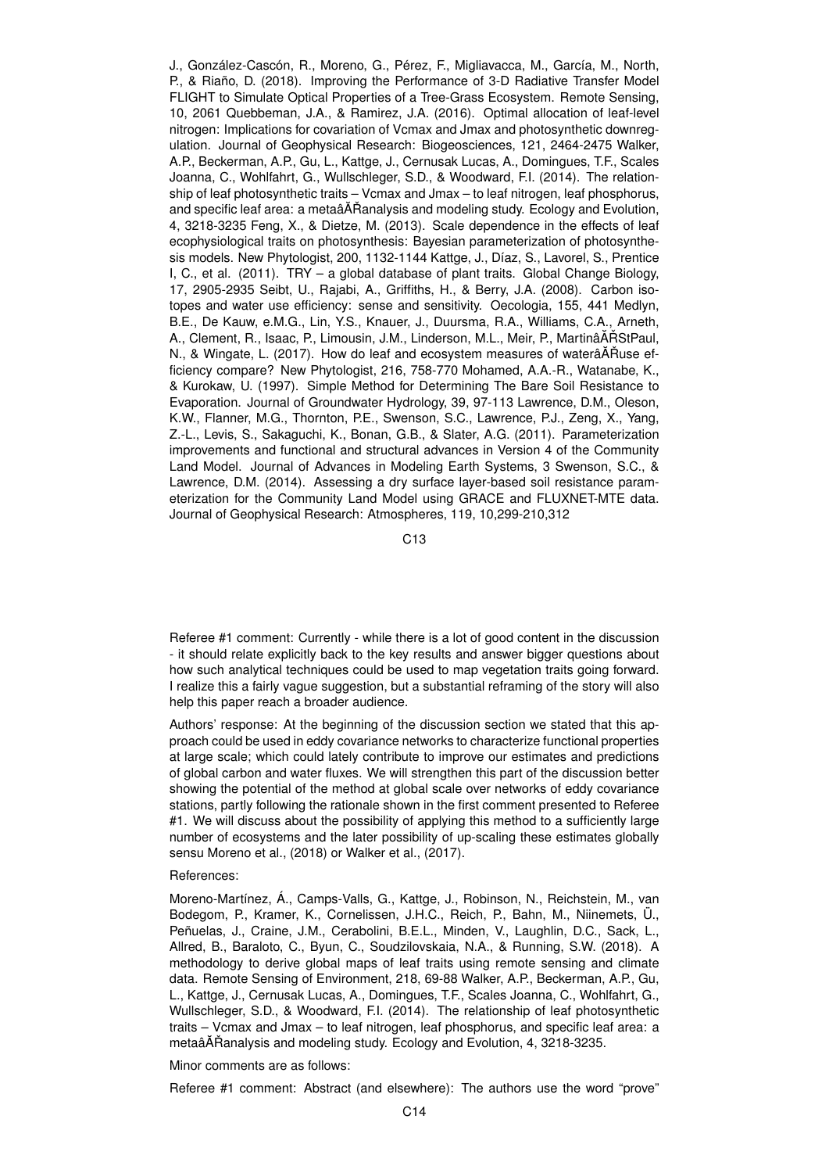J., González-Cascón, R., Moreno, G., Pérez, F., Migliavacca, M., García, M., North, P., & Riaño, D. (2018). Improving the Performance of 3-D Radiative Transfer Model FLIGHT to Simulate Optical Properties of a Tree-Grass Ecosystem. Remote Sensing, 10, 2061 Quebbeman, J.A., & Ramirez, J.A. (2016). Optimal allocation of leaf-level nitrogen: Implications for covariation of Vcmax and Jmax and photosynthetic downregulation. Journal of Geophysical Research: Biogeosciences, 121, 2464-2475 Walker, A.P., Beckerman, A.P., Gu, L., Kattge, J., Cernusak Lucas, A., Domingues, T.F., Scales Joanna, C., Wohlfahrt, G., Wullschleger, S.D., & Woodward, F.I. (2014). The relationship of leaf photosynthetic traits – Vcmax and Jmax – to leaf nitrogen, leaf phosphorus, and specific leaf area: a metaâAT Ranalysis and modeling study. Ecology and Evolution, 4, 3218-3235 Feng, X., & Dietze, M. (2013). Scale dependence in the effects of leaf ecophysiological traits on photosynthesis: Bayesian parameterization of photosynthesis models. New Phytologist, 200, 1132-1144 Kattge, J., Díaz, S., Lavorel, S., Prentice I, C., et al. (2011). TRY – a global database of plant traits. Global Change Biology, 17, 2905-2935 Seibt, U., Rajabi, A., Griffiths, H., & Berry, J.A. (2008). Carbon isotopes and water use efficiency: sense and sensitivity. Oecologia, 155, 441 Medlyn, B.E., De Kauw, e.M.G., Lin, Y.S., Knauer, J., Duursma, R.A., Williams, C.A., Arneth, A., Clement, R., Isaac, P., Limousin, J.M., Linderson, M.L., Meir, P., MartinâĂŘStPaul, N., & Wingate, L. (2017). How do leaf and ecosystem measures of waterâĂŘuse efficiency compare? New Phytologist, 216, 758-770 Mohamed, A.A.-R., Watanabe, K., & Kurokaw, U. (1997). Simple Method for Determining The Bare Soil Resistance to Evaporation. Journal of Groundwater Hydrology, 39, 97-113 Lawrence, D.M., Oleson, K.W., Flanner, M.G., Thornton, P.E., Swenson, S.C., Lawrence, P.J., Zeng, X., Yang, Z.-L., Levis, S., Sakaguchi, K., Bonan, G.B., & Slater, A.G. (2011). Parameterization improvements and functional and structural advances in Version 4 of the Community Land Model. Journal of Advances in Modeling Earth Systems, 3 Swenson, S.C., & Lawrence, D.M. (2014). Assessing a dry surface layer-based soil resistance parameterization for the Community Land Model using GRACE and FLUXNET-MTE data. Journal of Geophysical Research: Atmospheres, 119, 10,299-210,312

C13

Referee #1 comment: Currently - while there is a lot of good content in the discussion - it should relate explicitly back to the key results and answer bigger questions about how such analytical techniques could be used to map vegetation traits going forward. I realize this a fairly vague suggestion, but a substantial reframing of the story will also help this paper reach a broader audience.

Authors' response: At the beginning of the discussion section we stated that this approach could be used in eddy covariance networks to characterize functional properties at large scale; which could lately contribute to improve our estimates and predictions of global carbon and water fluxes. We will strengthen this part of the discussion better showing the potential of the method at global scale over networks of eddy covariance stations, partly following the rationale shown in the first comment presented to Referee #1. We will discuss about the possibility of applying this method to a sufficiently large number of ecosystems and the later possibility of up-scaling these estimates globally sensu Moreno et al., (2018) or Walker et al., (2017).

#### References:

Moreno-Martínez, Á., Camps-Valls, G., Kattge, J., Robinson, N., Reichstein, M., van Bodegom, P., Kramer, K., Cornelissen, J.H.C., Reich, P., Bahn, M., Niinemets, Ü., Peñuelas, J., Craine, J.M., Cerabolini, B.E.L., Minden, V., Laughlin, D.C., Sack, L., Allred, B., Baraloto, C., Byun, C., Soudzilovskaia, N.A., & Running, S.W. (2018). A methodology to derive global maps of leaf traits using remote sensing and climate data. Remote Sensing of Environment, 218, 69-88 Walker, A.P., Beckerman, A.P., Gu, L., Kattge, J., Cernusak Lucas, A., Domingues, T.F., Scales Joanna, C., Wohlfahrt, G., Wullschleger, S.D., & Woodward, F.I. (2014). The relationship of leaf photosynthetic traits – Vcmax and Jmax – to leaf nitrogen, leaf phosphorus, and specific leaf area: a metaâ $\tilde{A}$ Ranalysis and modeling study. Ecology and Evolution, 4, 3218-3235.

Minor comments are as follows:

Referee #1 comment: Abstract (and elsewhere): The authors use the word "prove"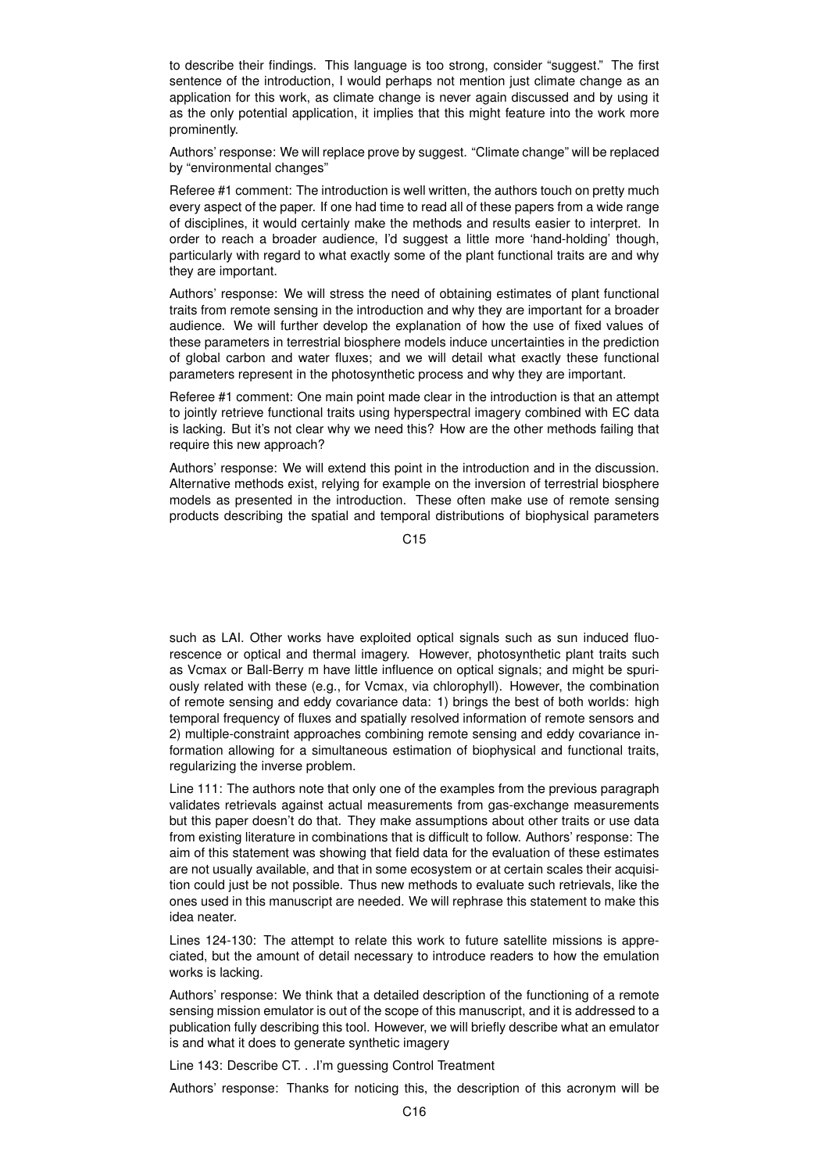to describe their findings. This language is too strong, consider "suggest." The first sentence of the introduction, I would perhaps not mention just climate change as an application for this work, as climate change is never again discussed and by using it as the only potential application, it implies that this might feature into the work more prominently.

Authors' response: We will replace prove by suggest. "Climate change" will be replaced by "environmental changes"

Referee #1 comment: The introduction is well written, the authors touch on pretty much every aspect of the paper. If one had time to read all of these papers from a wide range of disciplines, it would certainly make the methods and results easier to interpret. In order to reach a broader audience, I'd suggest a little more 'hand-holding' though, particularly with regard to what exactly some of the plant functional traits are and why they are important.

Authors' response: We will stress the need of obtaining estimates of plant functional traits from remote sensing in the introduction and why they are important for a broader audience. We will further develop the explanation of how the use of fixed values of these parameters in terrestrial biosphere models induce uncertainties in the prediction of global carbon and water fluxes; and we will detail what exactly these functional parameters represent in the photosynthetic process and why they are important.

Referee #1 comment: One main point made clear in the introduction is that an attempt to jointly retrieve functional traits using hyperspectral imagery combined with EC data is lacking. But it's not clear why we need this? How are the other methods failing that require this new approach?

Authors' response: We will extend this point in the introduction and in the discussion. Alternative methods exist, relying for example on the inversion of terrestrial biosphere models as presented in the introduction. These often make use of remote sensing products describing the spatial and temporal distributions of biophysical parameters

C<sub>15</sub>

such as LAI. Other works have exploited optical signals such as sun induced fluorescence or optical and thermal imagery. However, photosynthetic plant traits such as Vcmax or Ball-Berry m have little influence on optical signals; and might be spuriously related with these (e.g., for Vcmax, via chlorophyll). However, the combination of remote sensing and eddy covariance data: 1) brings the best of both worlds: high temporal frequency of fluxes and spatially resolved information of remote sensors and 2) multiple-constraint approaches combining remote sensing and eddy covariance information allowing for a simultaneous estimation of biophysical and functional traits, regularizing the inverse problem.

Line 111: The authors note that only one of the examples from the previous paragraph validates retrievals against actual measurements from gas-exchange measurements but this paper doesn't do that. They make assumptions about other traits or use data from existing literature in combinations that is difficult to follow. Authors' response: The aim of this statement was showing that field data for the evaluation of these estimates are not usually available, and that in some ecosystem or at certain scales their acquisition could just be not possible. Thus new methods to evaluate such retrievals, like the ones used in this manuscript are needed. We will rephrase this statement to make this idea neater.

Lines 124-130: The attempt to relate this work to future satellite missions is appreciated, but the amount of detail necessary to introduce readers to how the emulation works is lacking.

Authors' response: We think that a detailed description of the functioning of a remote sensing mission emulator is out of the scope of this manuscript, and it is addressed to a publication fully describing this tool. However, we will briefly describe what an emulator is and what it does to generate synthetic imagery

Line 143: Describe CT. . .I'm guessing Control Treatment

Authors' response: Thanks for noticing this, the description of this acronym will be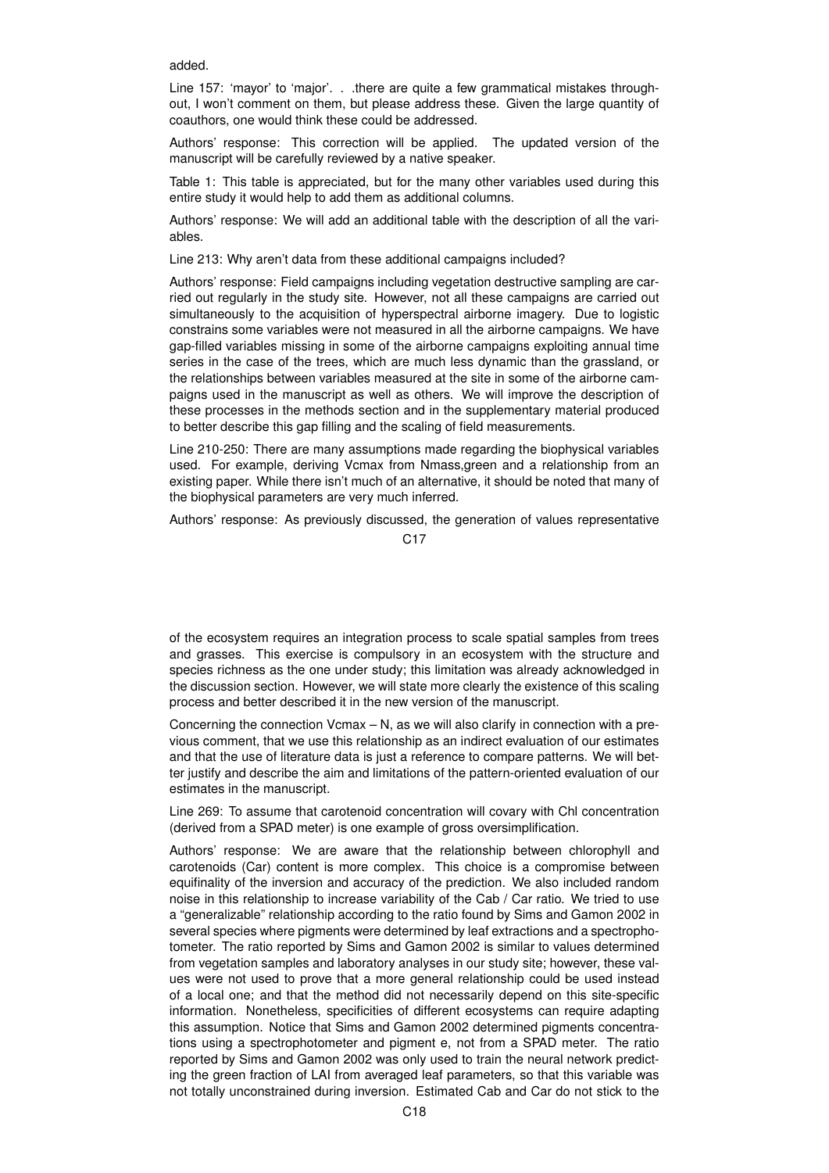added.

Line 157: 'mayor' to 'major'. . .there are quite a few grammatical mistakes throughout, I won't comment on them, but please address these. Given the large quantity of coauthors, one would think these could be addressed.

Authors' response: This correction will be applied. The updated version of the manuscript will be carefully reviewed by a native speaker.

Table 1: This table is appreciated, but for the many other variables used during this entire study it would help to add them as additional columns.

Authors' response: We will add an additional table with the description of all the variables.

Line 213: Why aren't data from these additional campaigns included?

Authors' response: Field campaigns including vegetation destructive sampling are carried out regularly in the study site. However, not all these campaigns are carried out simultaneously to the acquisition of hyperspectral airborne imagery. Due to logistic constrains some variables were not measured in all the airborne campaigns. We have gap-filled variables missing in some of the airborne campaigns exploiting annual time series in the case of the trees, which are much less dynamic than the grassland, or the relationships between variables measured at the site in some of the airborne campaigns used in the manuscript as well as others. We will improve the description of these processes in the methods section and in the supplementary material produced to better describe this gap filling and the scaling of field measurements.

Line 210-250: There are many assumptions made regarding the biophysical variables used. For example, deriving Vcmax from Nmass,green and a relationship from an existing paper. While there isn't much of an alternative, it should be noted that many of the biophysical parameters are very much inferred.

Authors' response: As previously discussed, the generation of values representative

 $C<sub>17</sub>$ 

of the ecosystem requires an integration process to scale spatial samples from trees and grasses. This exercise is compulsory in an ecosystem with the structure and species richness as the one under study; this limitation was already acknowledged in the discussion section. However, we will state more clearly the existence of this scaling process and better described it in the new version of the manuscript.

Concerning the connection Vcmax  $-$  N, as we will also clarify in connection with a previous comment, that we use this relationship as an indirect evaluation of our estimates and that the use of literature data is just a reference to compare patterns. We will better justify and describe the aim and limitations of the pattern-oriented evaluation of our estimates in the manuscript.

Line 269: To assume that carotenoid concentration will covary with Chl concentration (derived from a SPAD meter) is one example of gross oversimplification.

Authors' response: We are aware that the relationship between chlorophyll and carotenoids (Car) content is more complex. This choice is a compromise between equifinality of the inversion and accuracy of the prediction. We also included random noise in this relationship to increase variability of the Cab / Car ratio. We tried to use a "generalizable" relationship according to the ratio found by Sims and Gamon 2002 in several species where pigments were determined by leaf extractions and a spectrophotometer. The ratio reported by Sims and Gamon 2002 is similar to values determined from vegetation samples and laboratory analyses in our study site; however, these values were not used to prove that a more general relationship could be used instead of a local one; and that the method did not necessarily depend on this site-specific information. Nonetheless, specificities of different ecosystems can require adapting this assumption. Notice that Sims and Gamon 2002 determined pigments concentrations using a spectrophotometer and pigment e, not from a SPAD meter. The ratio reported by Sims and Gamon 2002 was only used to train the neural network predicting the green fraction of LAI from averaged leaf parameters, so that this variable was not totally unconstrained during inversion. Estimated Cab and Car do not stick to the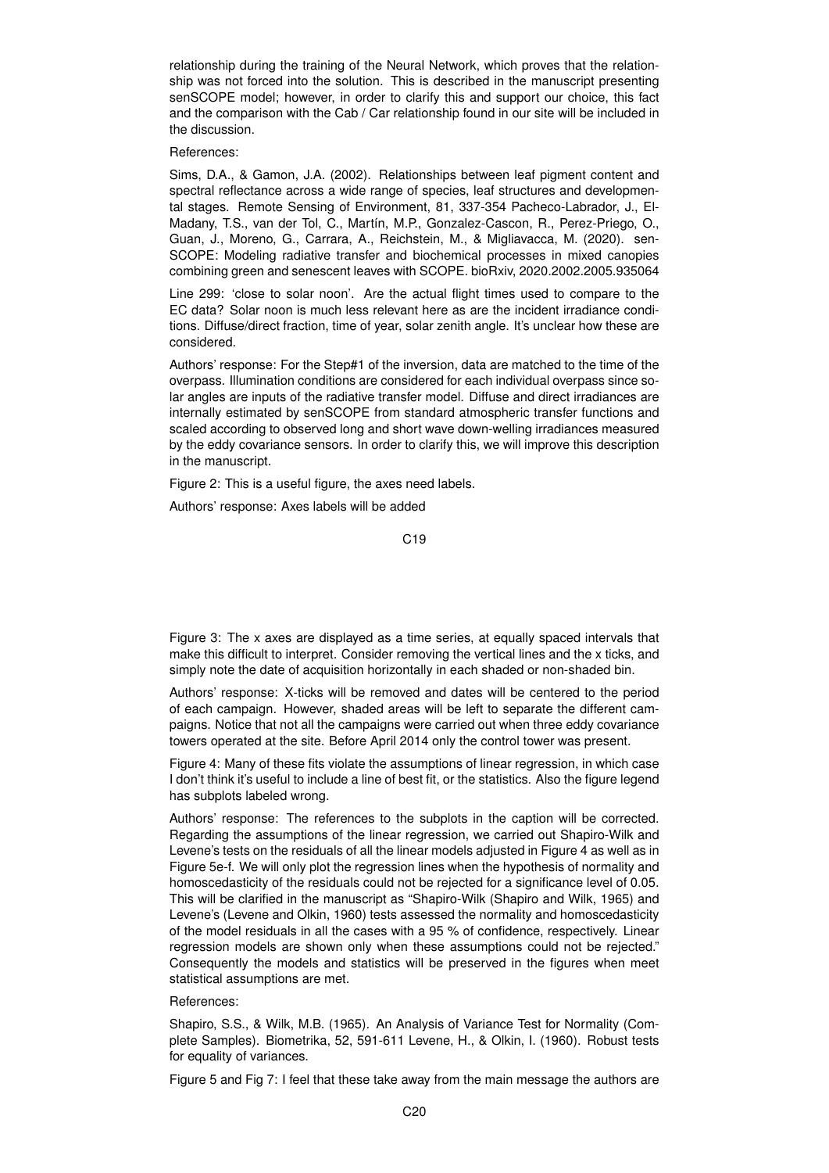relationship during the training of the Neural Network, which proves that the relationship was not forced into the solution. This is described in the manuscript presenting senSCOPE model; however, in order to clarify this and support our choice, this fact and the comparison with the Cab / Car relationship found in our site will be included in the discussion.

#### References:

Sims, D.A., & Gamon, J.A. (2002). Relationships between leaf pigment content and spectral reflectance across a wide range of species, leaf structures and developmental stages. Remote Sensing of Environment, 81, 337-354 Pacheco-Labrador, J., El-Madany, T.S., van der Tol, C., Martín, M.P., Gonzalez-Cascon, R., Perez-Priego, O., Guan, J., Moreno, G., Carrara, A., Reichstein, M., & Migliavacca, M. (2020). sen-SCOPE: Modeling radiative transfer and biochemical processes in mixed canopies combining green and senescent leaves with SCOPE. bioRxiv, 2020.2002.2005.935064

Line 299: 'close to solar noon'. Are the actual flight times used to compare to the EC data? Solar noon is much less relevant here as are the incident irradiance conditions. Diffuse/direct fraction, time of year, solar zenith angle. It's unclear how these are considered.

Authors' response: For the Step#1 of the inversion, data are matched to the time of the overpass. Illumination conditions are considered for each individual overpass since solar angles are inputs of the radiative transfer model. Diffuse and direct irradiances are internally estimated by senSCOPE from standard atmospheric transfer functions and scaled according to observed long and short wave down-welling irradiances measured by the eddy covariance sensors. In order to clarify this, we will improve this description in the manuscript.

Figure 2: This is a useful figure, the axes need labels.

Authors' response: Axes labels will be added

C19

Figure 3: The x axes are displayed as a time series, at equally spaced intervals that make this difficult to interpret. Consider removing the vertical lines and the x ticks, and simply note the date of acquisition horizontally in each shaded or non-shaded bin.

Authors' response: X-ticks will be removed and dates will be centered to the period of each campaign. However, shaded areas will be left to separate the different campaigns. Notice that not all the campaigns were carried out when three eddy covariance towers operated at the site. Before April 2014 only the control tower was present.

Figure 4: Many of these fits violate the assumptions of linear regression, in which case I don't think it's useful to include a line of best fit, or the statistics. Also the figure legend has subplots labeled wrong.

Authors' response: The references to the subplots in the caption will be corrected. Regarding the assumptions of the linear regression, we carried out Shapiro-Wilk and Levene's tests on the residuals of all the linear models adjusted in Figure 4 as well as in Figure 5e-f. We will only plot the regression lines when the hypothesis of normality and homoscedasticity of the residuals could not be rejected for a significance level of 0.05. This will be clarified in the manuscript as "Shapiro-Wilk (Shapiro and Wilk, 1965) and Levene's (Levene and Olkin, 1960) tests assessed the normality and homoscedasticity of the model residuals in all the cases with a 95 % of confidence, respectively. Linear regression models are shown only when these assumptions could not be rejected." Consequently the models and statistics will be preserved in the figures when meet statistical assumptions are met.

References:

Shapiro, S.S., & Wilk, M.B. (1965). An Analysis of Variance Test for Normality (Complete Samples). Biometrika, 52, 591-611 Levene, H., & Olkin, I. (1960). Robust tests for equality of variances.

Figure 5 and Fig 7: I feel that these take away from the main message the authors are